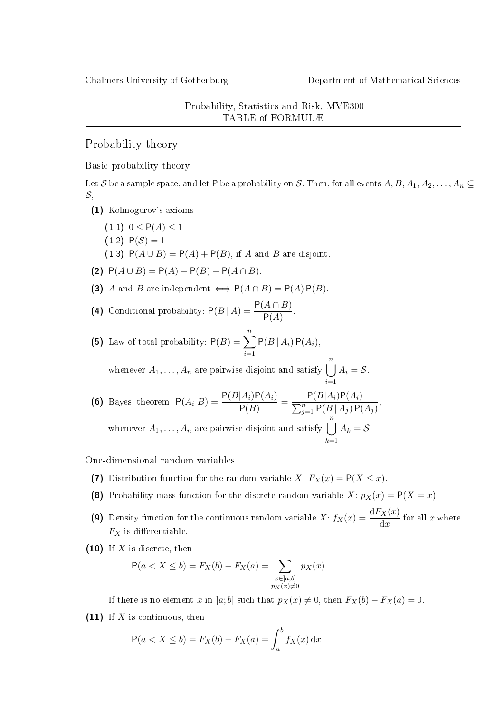Probability, Statistics and Risk, MVE300 TABLE of FORMULÆ

Probability theory

Basic probability theory

Let S be a sample space, and let P be a probability on S. Then, for all events  $A, B, A_1, A_2, \ldots, A_n \subseteq$  $\mathcal{S},$ 

- (1) Kolmogorov's axioms
	- $(1\ 1)\ 0 < P(A) < 1$  $(1.2) P(S) = 1$ (1.3)  $P(A \cup B) = P(A) + P(B)$ , if A and B are disjoint.
- (2)  $P(A \cup B) = P(A) + P(B) P(A \cap B)$ .
- (3) A and B are independent  $\iff P(A \cap B) = P(A) P(B)$ .
- (4) Conditional probability:  $P(B | A) = \frac{P(A \cap B)}{P(A)}$ .
- (5) Law of total probability:  $P(B) = \sum_{n=1}^{n}$  $i=1$  $P(B | A_i) P(A_i),$

whenever  $A_1, \ldots, A_n$  are pairwise disjoint and satisfy  $\bigcup^n A_i = \mathcal{S}$ .  $i=1$ 

**(6)** Bayes' theorem: 
$$
P(A_i|B) = \frac{P(B|A_i)P(A_i)}{P(B)} = \frac{P(B|A_i)P(A_i)}{\sum_{j=1}^n P(B|A_j)P(A_j)},
$$
whenever  $A_1, ..., A_n$  are pairwise disjoint and satisfy 
$$
\bigcup_{k=1}^n A_k = \mathcal{S}.
$$

One-dimensional random variables

- (7) Distribution function for the random variable X:  $F_X(x) = P(X \leq x)$ .
- (8) Probability-mass function for the discrete random variable X:  $p_X(x) = P(X = x)$ .
- (9) Density function for the continuous random variable  $X: f_X(x) = \frac{dF_X(x)}{dx}$  for all x where  $F_X$  is differentiable.
- $(10)$  If X is discrete, then

$$
P(a < X \le b) = F_X(b) - F_X(a) = \sum_{\substack{x \in [a;b] \\ p_X(x) \ne 0}} p_X(x)
$$

If there is no element x in [a; b] such that  $p_X(x) \neq 0$ , then  $F_X(b) - F_X(a) = 0$ .

(11) If  $X$  is continuous, then

$$
P(a < X \le b) = F_X(b) - F_X(a) = \int_a^b f_X(x) dx
$$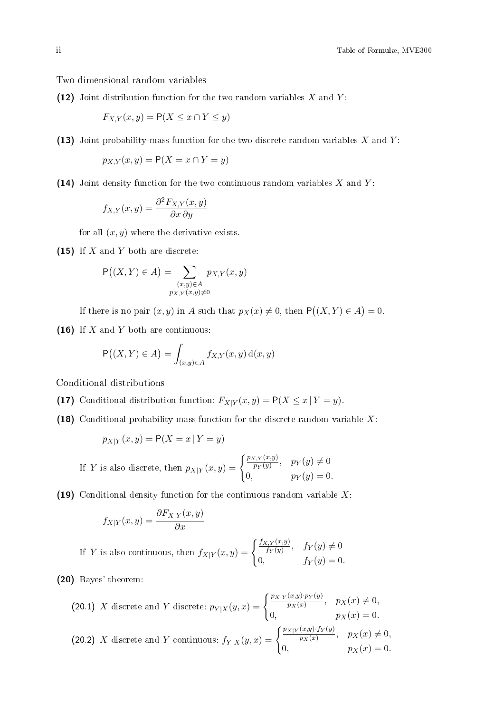Two-dimensional random variables

(12) Joint distribution function for the two random variables  $X$  and  $Y$ :

$$
F_{X,Y}(x,y) = \mathsf{P}(X \le x \cap Y \le y)
$$

(13) Joint probability-mass function for the two discrete random variables  $X$  and  $Y$ :

$$
p_{X,Y}(x,y) = \mathsf{P}(X = x \cap Y = y)
$$

(14) Joint density function for the two continuous random variables  $X$  and  $Y$ :

$$
f_{X,Y}(x,y) = \frac{\partial^2 F_{X,Y}(x,y)}{\partial x \, \partial y}
$$

for all  $(x, y)$  where the derivative exists.

(15) If  $X$  and  $Y$  both are discrete:

$$
\mathsf{P}\big((X,Y)\in A\big)=\sum_{\substack{(x,y)\in A\\p_{X,Y}(x,y)\neq 0}}p_{X,Y}(x,y)
$$

If there is no pair  $(x, y)$  in A such that  $p_X(x) \neq 0$ , then  $P((X, Y) \in A) = 0$ .

(16) If  $X$  and  $Y$  both are continuous:

$$
\mathsf{P}\big((X,Y)\in A\big)=\int_{(x,y)\in A}f_{X,Y}(x,y)\,\mathrm{d}(x,y)
$$

Conditional distributions

- (17) Conditional distribution function:  $F_{X|Y}(x, y) = P(X \le x | Y = y)$ .
- (18) Conditional probability-mass function for the discrete random variable  $X$ :

$$
p_{X|Y}(x, y) = P(X = x | Y = y)
$$

If Y is also discrete, then 
$$
p_{X|Y}(x, y) = \begin{cases} \frac{p_{X,Y}(x,y)}{p_Y(y)}, & p_Y(y) \neq 0 \\ 0, & p_Y(y) = 0. \end{cases}
$$

(19) Conditional density function for the continuous random variable  $X$ :

$$
f_{X|Y}(x,y) = \frac{\partial F_{X|Y}(x,y)}{\partial x}
$$

If Y is also continuous, then 
$$
f_{X|Y}(x,y) = \begin{cases} \frac{f_{X,Y}(x,y)}{f_Y(y)}, & f_Y(y) \neq 0\\ 0, & f_Y(y) = 0. \end{cases}
$$

(20) Bayes' theorem:

(20.1) X discrete and Y discrete: 
$$
p_{Y|X}(y,x) = \begin{cases} \frac{p_{X|Y}(x,y) \cdot p_{Y}(y)}{p_{X}(x)}, & p_{X}(x) \neq 0, \\ 0, & p_{X}(x) = 0. \end{cases}
$$
  
(20.2) X discrete and Y continuous: 
$$
f_{Y|X}(y,x) = \begin{cases} \frac{p_{X|Y}(x,y) \cdot f_{Y}(y)}{p_{X}(x)}, & p_{X}(x) \neq 0, \\ 0, & p_{X}(x) = 0. \end{cases}
$$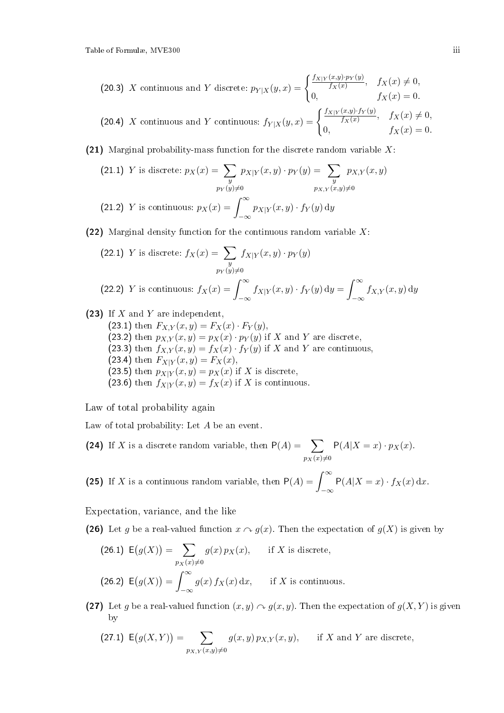(20.3) X continuous and Y discrete:  $p_{Y|X}(y,x) = \begin{cases} \frac{f_{X|Y}(x,y) \cdot p_Y(y)}{f_X(x)}, & f_X(x) \neq 0, \end{cases}$ 0,  $f_X(x) = 0.$ 

(20.4) X continuous and Y continuous:  $f_{Y|X}(y,x) = \begin{cases} \frac{f_{X|Y}(x,y) \cdot f_Y(y)}{f_X(x)}, & f_X(x) \neq 0, \end{cases}$ 0,  $f_X(x) = 0$ .

(21) Marginal probability-mass function for the discrete random variable  $X$ :

(21.1) Y is discrete: 
$$
p_X(x) = \sum_{\substack{y \\ p_Y(y) \neq 0}} p_{X|Y}(x, y) \cdot p_Y(y) = \sum_{\substack{y \\ p_{X,Y}(x,y) \neq 0}} p_{X,Y}(x, y)
$$

$$
(21.2) Y is continuous: 
$$
p_X(x) = \int_{-\infty}^{\infty} p_{X|Y}(x, y) \cdot f_Y(y) dy
$$
$$

(22) Marginal density function for the continuous random variable  $X$ :

(22.1) Y is discrete: 
$$
f_X(x) = \sum_{y} f_{X|Y}(x, y) \cdot p_Y(y)
$$
  
\n
$$
p_Y(y) \neq 0
$$
\n(22.2) Y is continuous:  $f_X(x) = \int_{-\infty}^{\infty} f_{X|Y}(x, y) \cdot f_Y(y) dy = \int_{-\infty}^{\infty} f_{X,Y}(x, y) dy$ 

(23) If  $X$  and  $Y$  are independent.

- (23.1) then  $F_{X,Y}(x, y) = F_X(x) \cdot F_Y(y)$ ,
- (23.2) then  $p_{X,Y}(x, y) = p_X(x) \cdot p_Y(y)$  if X and Y are discrete,
- (23.3) then  $f_{X,Y}(x,y) = f_X(x) \cdot f_Y(y)$  if X and Y are continuous,
- (23.4) then  $F_{X|Y}(x, y) = F_X(x)$ ,
- (23.5) then  $p_{X|Y}(x, y) = p_X(x)$  if X is discrete,
- (23.6) then  $f_{X|Y}(x, y) = f_X(x)$  if X is continuous.

Law of total probability again

Law of total probability: Let A be an event.

(24) If X is a discrete random variable, then  $P(A) = \sum$  $p_X(x) \neq 0$  $P(A|X = x) \cdot p_X(x)$ .

(25) If X is a continuous random variable, then  $P(A) = \int_{-\infty}^{\infty}$  $-\infty$  $P(A|X = x) \cdot f_X(x) dx$ .

Expectation, variance, and the like

(26) Let g be a real-valued function  $x \wedge g(x)$ . Then the expectation of  $g(X)$  is given by

(26.1) 
$$
E(g(X)) = \sum_{p_X(x) \neq 0} g(x) p_X(x)
$$
, if *X* is discrete,  
(26.2)  $E(g(X)) = \int_{-\infty}^{\infty} g(x) f_X(x) dx$ , if *X* is continuous.

(27) Let g be a real-valued function  $(x, y) \curvearrowright g(x, y)$ . Then the expectation of  $g(X, Y)$  is given by

(27.1) 
$$
E(g(X,Y)) = \sum_{p_{X,Y}(x,y)\neq 0} g(x,y) p_{X,Y}(x,y), \quad \text{if } X \text{ and } Y \text{ are discrete},
$$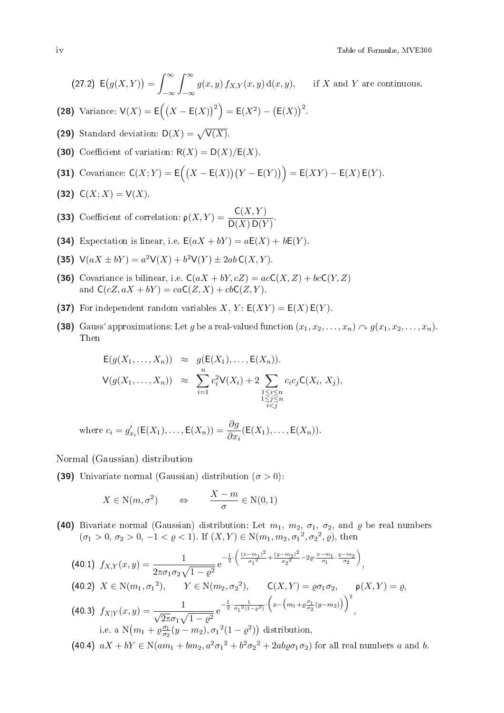(27.2) 
$$
E(g(X,Y)) = \int_{-\infty}^{\infty} \int_{-\infty}^{\infty} g(x,y) f_{X,Y}(x,y) d(x,y), \quad \text{if } X \text{ and } Y \text{ are continuous.}
$$

- (28) Variance:  $V(X) = E((X E(X))^2) = E(X^2) (E(X))^2$ .
- (29) Standard deviation:  $D(X) = \sqrt{V(X)}$ .
- (30) Coefficient of variation:  $R(X) = D(X)/E(X)$ .

(31) Covariance: 
$$
C(X;Y) = E((X - E(X))(Y - E(Y))) = E(XY) - E(X)E(Y)
$$
.

(32)  $C(X; X) = V(X)$ .

(33) Coefficient of correlation:  $\rho(X,Y) = \frac{C(X,Y)}{D(X) D(Y)}$ .

- (34) Expectation is linear, i.e.  $E(aX + bY) = aE(X) + bE(Y)$ .
- (35)  $V(aX \pm bY) = a^2V(X) + b^2V(Y) \pm 2abC(X, Y)$ .
- (36) Covariance is bilinear, i.e.  $C(aX + bY, cZ) = acC(X, Z) + bcC(Y, Z)$ and  $C(cZ, aX + bY) = caC(Z, X) + cbC(Z, Y)$ .
- (37) For independent random variables  $X, Y$ :  $E(XY) = E(X) E(Y)$ .
- (38) Gauss' approximations: Let g be a real-valued function  $(x_1, x_2, \ldots, x_n) \cap g(x_1, x_2, \ldots, x_n)$ . Then

$$
\begin{array}{rcl}\n\mathsf{E}(g(X_1,\ldots,X_n)) & \approx & g(\mathsf{E}(X_1),\ldots,\mathsf{E}(X_n)). \\
\mathsf{V}(g(X_1,\ldots,X_n)) & \approx & \sum_{i=1}^n c_i^2 \mathsf{V}(X_i) + 2 \sum_{\substack{1 \le i \le n \\ 1 \le j \le n \\ i < j}} c_i c_j \mathsf{C}(X_i,X_j),\n\end{array}
$$

where  $c_i = g'_{x_i}(\mathsf{E}(X_1), \dots, \mathsf{E}(X_n)) = \frac{\partial g}{\partial x_i}(\mathsf{E}(X_1), \dots, \mathsf{E}(X_n)).$ 

Normal (Gaussian) distribution

(39) Univariate normal (Gaussian) distribution  $(\sigma > 0)$ :

$$
X \in N(m, \sigma^2) \qquad \Leftrightarrow \qquad \frac{X - m}{\sigma} \in N(0, 1)
$$

(40) Bivariate normal (Gaussian) distribution: Let  $m_1, m_2, \sigma_1, \sigma_2$ , and  $\varrho$  be real numbers  $(\sigma_1 > 0, \sigma_2 > 0, -1 < \varrho < 1)$ . If  $(X, Y) \in N(m_1, m_2, \sigma_1^2, \sigma_2^2, \varrho)$ , then

$$
(40.1) \ f_{X,Y}(x,y) = \frac{1}{2\pi\sigma_1\sigma_2\sqrt{1-\varrho^2}} e^{-\frac{1}{2}\cdot\left(\frac{(x-m_1)^2}{\sigma_1^2} + \frac{(y-m_2)^2}{\sigma_2^2} - 2\varrho\cdot\frac{x-m_1}{\sigma_1}\cdot\frac{y-m_2}{\sigma_2}\right)},
$$
\n
$$
(40.2) \ X \in N(m_1, \sigma_1^2), \quad Y \in N(m_2, \sigma_2^2), \quad C(X,Y) = \varrho\sigma_1\sigma_2, \quad \varrho(X,Y) = \varrho,
$$
\n
$$
(40.3) \ f_{X|Y}(x,y) = \frac{1}{\sqrt{2\pi}\sigma_1\sqrt{1-\varrho^2}} e^{-\frac{1}{2}\cdot\frac{1}{\sigma_1^2(1-\varrho^2)}\cdot\left(x-\left(m_1+\varrho\frac{\sigma_1}{\sigma_2}(y-m_2)\right)\right)^2},
$$
\ni.e. a  $N(m_1+\varrho\frac{\sigma_1}{\sigma_2}(y-m_2), \sigma_1^2(1-\varrho^2))$  distribution,

(40.4)  $aX + bY \in N(am_1 + bm_2, a^2\sigma_1^2 + b^2\sigma_2^2 + 2ab\varrho\sigma_1\sigma_2)$  for all real numbers a and b.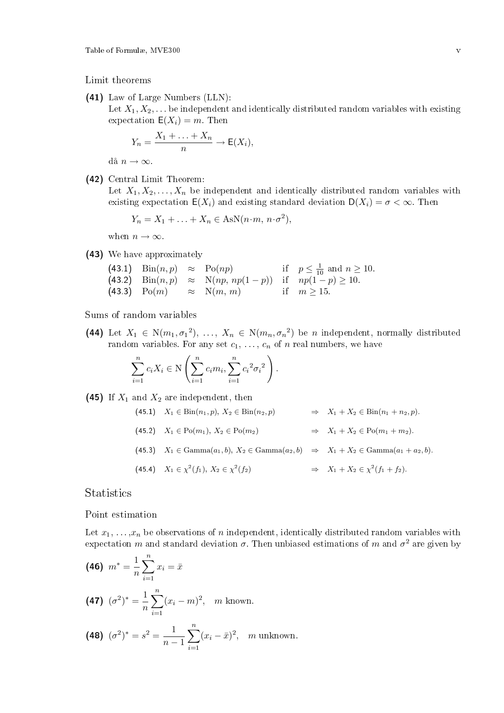Limit theorems

(41) Law of Large Numbers (LLN):

Let  $X_1, X_2, \ldots$  be independent and identically distributed random variables with existing expectation  $E(X_i) = m$ . Then

$$
Y_n = \frac{X_1 + \ldots + X_n}{n} \to \mathsf{E}(X_i),
$$

då  $n \to \infty$ .

(42) Central Limit Theorem:

Let  $X_1, X_2, \ldots, X_n$  be independent and identically distributed random variables with existing expectation  $E(X_i)$  and existing standard deviation  $D(X_i) = \sigma < \infty$ . Then

$$
Y_n = X_1 + \ldots + X_n \in \text{AsN}(n \cdot m, n \cdot \sigma^2),
$$

when  $n \to \infty$ .

(43) We have approximately

|  |                                                                               | (43.1) $\text{Bin}(n, p) \approx \text{Po}(np)$ if $p \leq \frac{1}{10}$ and $n \geq 10$ . |
|--|-------------------------------------------------------------------------------|--------------------------------------------------------------------------------------------|
|  | (43.2) $\text{Bin}(n, p) \approx \text{N}(np, np(1-p))$ if $np(1-p) \ge 10$ . |                                                                                            |
|  | (43.3) Po $(m) \approx N(m, m)$ if $m \ge 15$ .                               |                                                                                            |

Sums of random variables

(44) Let  $X_1 \in N(m_1, \sigma_1^2), \ldots, X_n \in N(m_n, \sigma_n^2)$  be *n* independent, normally distributed random variables. For any set  $c_1, \ldots, c_n$  of n real numbers, we have

$$
\sum_{i=1}^{n} c_i X_i \in \mathcal{N}\left(\sum_{i=1}^{n} c_i m_i, \sum_{i=1}^{n} c_i^{2} \sigma_i^{2}\right).
$$

(45) If  $X_1$  and  $X_2$  are independent, then

(45.1) 
$$
X_1 \in \text{Bin}(n_1, p), X_2 \in \text{Bin}(n_2, p)
$$
  $\Rightarrow X_1 + X_2 \in \text{Bin}(n_1 + n_2, p).$   
\n(45.2)  $X_1 \in \text{Po}(m_1), X_2 \in \text{Po}(m_2)$   $\Rightarrow X_1 + X_2 \in \text{Po}(m_1 + m_2).$   
\n(45.3)  $X_1 \in \text{Gamma}(a_1, b), X_2 \in \text{Gamma}(a_2, b)$   $\Rightarrow X_1 + X_2 \in \text{Gamma}(a_1 + a_2, b).$   
\n(45.4)  $X_1 \in \chi^2(f_1), X_2 \in \chi^2(f_2)$   $\Rightarrow X_1 + X_2 \in \chi^2(f_1 + f_2).$ 

Statistics

Point estimation

Let  $x_1, \ldots, x_n$  be observations of n independent, identically distributed random variables with expectation m and standard deviation  $\sigma$ . Then unbiased estimations of m and  $\sigma^2$  are given by

(46) 
$$
m^* = \frac{1}{n} \sum_{i=1}^n x_i = \bar{x}
$$
  
(47)  $(\sigma^2)^* = \frac{1}{n} \sum_{i=1}^n (x_i - m)^2$ , *m* known.

(48) 
$$
(\sigma^2)^* = s^2 = \frac{1}{n-1} \sum_{i=1}^n (x_i - \bar{x})^2
$$
, *m* unknown.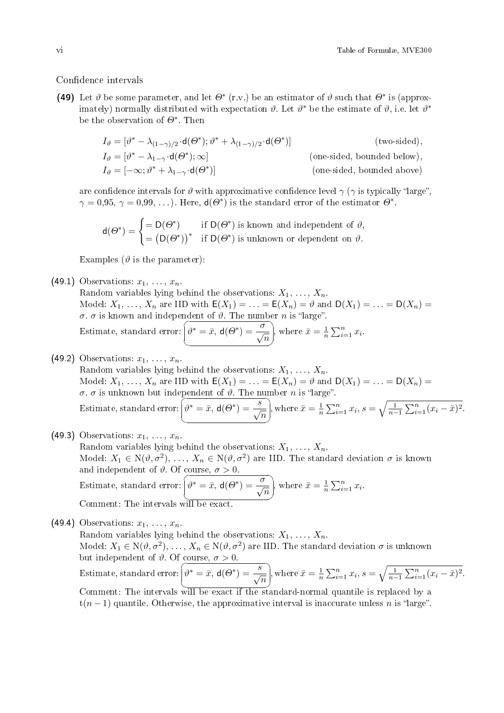#### Confidence intervals

(49) Let  $\vartheta$  be some parameter, and let  $\Theta^*$  (r.v.) be an estimator of  $\vartheta$  such that  $\Theta^*$  is (approximately) normally distributed with expectation  $\vartheta$ . Let  $\vartheta^*$  be the estimate of  $\vartheta$ , i.e. let  $\vartheta^*$ be the observation of  $\Theta^*$ . Then

$$
I_{\vartheta} = [\vartheta^* - \lambda_{(1-\gamma)/2} \cdot d(\varTheta^*); \vartheta^* + \lambda_{(1-\gamma)/2} \cdot d(\varTheta^*)]
$$
 (two-sided),  
\n
$$
I_{\vartheta} = [\vartheta^* - \lambda_{1-\gamma} \cdot d(\varTheta^*); \infty]
$$
 (one-sided, bounded below),  
\n
$$
I_{\vartheta} = [-\infty; \vartheta^* + \lambda_{1-\gamma} \cdot d(\varTheta^*)]
$$
 (one-sided, bounded above)

are confidence intervals for  $\vartheta$  with approximative confidence level  $\gamma$  ( $\gamma$  is typically "large",  $\gamma = 0.95, \, \gamma = 0.99, \, \ldots$  ). Here,  $d(\Theta^*)$  is the standard error of the estimator  $\Theta^*$ .

$$
d(\Theta^*) = \begin{cases} = D(\Theta^*) & \text{if } D(\Theta^*) \text{ is known and independent of } \vartheta, \\ = (D(\Theta^*))^* & \text{if } D(\Theta^*) \text{ is unknown or dependent on } \vartheta. \end{cases}
$$

Examples ( $\vartheta$  is the parameter):

(49.1) Observations:  $x_1, \ldots, x_n$ .

Random variables lying behind the observations:  $X_1, \ldots, X_n$ . Model:  $X_1, \ldots, X_n$  are IID with  $\mathsf{E}(X_1) = \ldots = \mathsf{E}(X_n) = \vartheta$  and  $\mathsf{D}(X_1) = \ldots = \mathsf{D}(X_n) = \emptyset$ σ. σ is known and independent of  $\vartheta$ . The number n is "large".  $\overline{\mathcal{C}}$  $\tilde{\ }$ 

Estimate, standard error:  $\searrow$ ✠  $\widehat{\theta^* = \bar{x}, \mathsf{d}(\theta^*) = \frac{\sigma}{\sqrt{n}}}, \text{ where } \bar{x} = \frac{1}{n} \sum_{i=1}^n x_i.$ 

(49.2) Observations:  $x_1, \ldots, x_n$ .

Random variables lying behind the observations:  $X_1, \ldots, X_n$ . Model:  $X_1, \ldots, X_n$  are IID with  $\mathsf{E}(X_1) = \ldots = \mathsf{E}(X_n) = \vartheta$  and  $\mathsf{D}(X_1) = \ldots = \mathsf{D}(X_n) = \emptyset$ *σ. σ* is unknown but independent of *θ*. The number *n* is "large".

Estimate, standard error: 
$$
\left(\theta^* = \bar{x}, \mathbf{d}(\theta^*) = \frac{s}{\sqrt{n}}\right)
$$
, where  $\bar{x} = \frac{1}{n} \sum_{i=1}^n x_i$ ,  $s = \sqrt{\frac{1}{n-1} \sum_{i=1}^n (x_i - \bar{x})^2}$ .

(49.3) Observations: 
$$
x_1, \ldots, x_n
$$
.  
\nRandom variables lying behind the observations:  $X_1, \ldots, X_n$ .  
\nModel:  $X_1 \in N(\vartheta, \sigma^2), \ldots, X_n \in N(\vartheta, \sigma^2)$  are IID. The standard deviation  $\sigma$  is known  
\nand independent of  $\vartheta$ . Of course,  $\sigma > 0$ .  
\nEstimate, standard error:  $\vartheta^* = \bar{x}, d(\Theta^*) = \frac{\sigma}{\sqrt{n}}$ , where  $\bar{x} = \frac{1}{n} \sum_{i=1}^n x_i$ .  
\nComment: The intervals will be exact.

(49.4) Observations:  $x_1, \ldots, x_n$ . Random variables lying behind the observations:  $X_1, \ldots, X_n$ . Model:  $X_1 \in \mathrm{N}(\vartheta,\sigma^2),$   $\ldots,X_n \in \mathrm{N}(\vartheta,\sigma^2)$  are IID. The standard deviation  $\sigma$  is unknown but independent of  $\vartheta$ . Of course,  $\sigma > 0$ . Estimate, standard error:  $\sum$  $\searrow$  $\mathbf{a}^{\dagger}$  $\frac{1}{2}$  $\widehat{\theta^* = \bar{x}}$ ,  $d(\Theta^*) = \frac{s}{\sqrt{n}}$ , where  $\bar{x} = \frac{1}{n} \sum_{i=1}^n x_i$ ,  $s = \sqrt{\frac{1}{n-1} \sum_{i=1}^n (x_i - \bar{x})^2}$ . Comment: The intervals will be exact if the standard-normal quantile is replaced by a  $t(n-1)$  quantile. Otherwise, the approximative interval is inaccurate unless n is "large".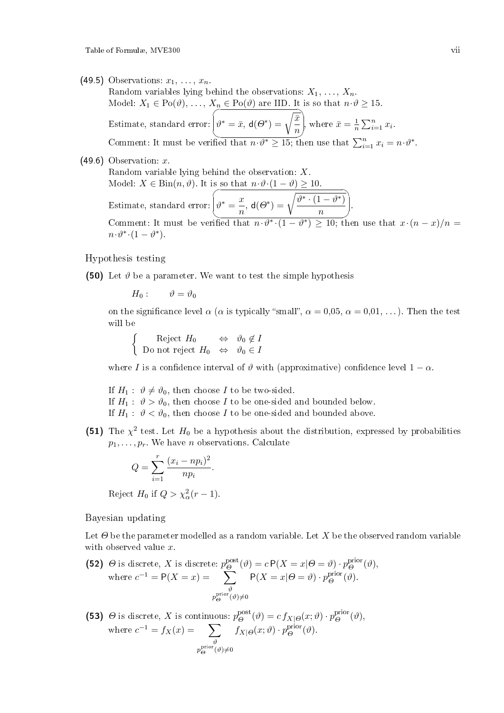- (49.5) Observations:  $x_1, \ldots, x_n$ .
	- Random variables lying behind the observations:  $X_1, \ldots, X_n$ . Model:  $X_1 \in \text{Po}(\vartheta), \ldots, X_n \in \text{Po}(\vartheta)$  are IID. It is so that  $n \cdot \vartheta \ge 15$ . Estimate, standard error:  $\overbrace{ }$ Comment: It must be verified that  $n \cdot \vartheta^* \ge 15$ ; then use that  $\sum_{i=1}^n x_i = n \cdot \vartheta^*$ .  $\vartheta^*=\bar{x},\,\mathsf{d}(\varTheta^*)=\sqrt{\frac{\bar{x}}{-}}$  $\frac{x}{n}$ , where  $\bar{x} = \frac{1}{n} \sum_{i=1}^{n} x_i$ .
- $(49.6)$  Observation: x.

Random variable lying behind the observation: X. Model:  $X \in \text{Bin}(n, \vartheta)$ . It is so that  $n \cdot \vartheta \cdot (1 - \vartheta) \geq 10$ . Estimate, standard error:  $\overline{\phantom{a}}$  $\sum_{i=1}^{\infty}$ ☞  $\vartheta^* = \frac{x}{x}$  $\frac{x}{n},\,\mathsf{d}(\varTheta^*)=\sqrt{\frac{\vartheta^*\cdot(1-\vartheta^*)}{n}}$  $\frac{n}{n}$ Comment: It must be verified that  $n \cdot \vartheta^* \cdot (1 - \vartheta^*) \geq 10$ ; then use that  $x \cdot (n - x)/n =$  $n \cdot \vartheta^* \cdot (1 - \vartheta^*)$ .

Hypothesis testing

(50) Let  $\vartheta$  be a parameter. We want to test the simple hypothesis

 $H_0$ :  $\vartheta = \vartheta_0$ 

on the significance level  $\alpha$  ( $\alpha$  is typically "small",  $\alpha = 0.05$ ,  $\alpha = 0.01$ , ...). Then the test will be

 $\int$  Reject  $H_0 \Leftrightarrow \vartheta_0 \notin I$ Do not reject  $H_0 \Leftrightarrow \vartheta_0 \in I$ 

where I is a confidence interval of  $\vartheta$  with (approximative) confidence level  $1 - \alpha$ .

If  $H_1: \vartheta \neq \vartheta_0$ , then choose I to be two-sided. If  $H_1: \vartheta > \vartheta_0$ , then choose I to be one-sided and bounded below. If  $H_1: \vartheta < \vartheta_0$ , then choose I to be one-sided and bounded above.

(51) The  $\chi^2$  test. Let  $H_0$  be a hypothesis about the distribution, expressed by probabilities  $p_1, \ldots, p_r$ . We have *n* observations. Calculate

$$
Q = \sum_{i=1}^{r} \frac{(x_i - np_i)^2}{np_i}.
$$

Reject  $H_0$  if  $Q > \chi^2_\alpha(r-1)$ .

Bayesian updating

Let  $\Theta$  be the parameter modelled as a random variable. Let X be the observed random variable with observed value x.

(52) 
$$
\Theta
$$
 is discrete, X is discrete:  $p_{\Theta}^{\text{post}}(\vartheta) = c P(X = x | \Theta = \vartheta) \cdot p_{\Theta}^{\text{prior}}(\vartheta)$ ,  
where  $c^{-1} = P(X = x) = \sum_{p_{\Theta}^{\text{prior}}(\vartheta) \neq 0}^{\vartheta} P(X = x | \Theta = \vartheta) \cdot p_{\Theta}^{\text{prior}}(\vartheta)$ .

(53)  $\Theta$  is discrete, X is continuous:  $p_{\Theta}^{\text{post}}(\vartheta) = c f_{X|\Theta}(x;\vartheta) \cdot p_{\Theta}^{\text{prior}}(\vartheta)$ , where  $c^{-1} = f_X(x) = \sum$  $\vartheta$  $p_\Theta^{\text{prior}}(\vartheta){\neq}0$  $f_{X|\Theta}(x;\vartheta)\cdot p_{\Theta}^{\text{prior}}(\vartheta).$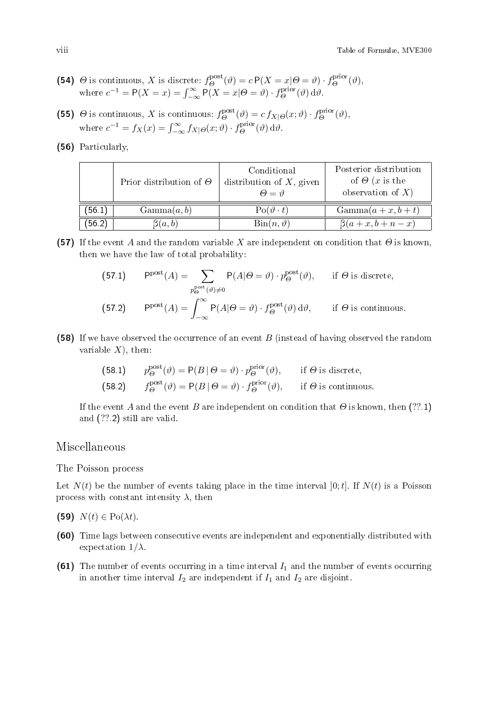- (54)  $\Theta$  is continuous, X is discrete:  $f_{\Theta}^{\text{post}}(\vartheta) = c P(X = x | \Theta = \vartheta) \cdot f_{\Theta}^{\text{prior}}(\vartheta)$ , where  $c^{-1} = P(X = x) = \int_{-\infty}^{\infty} P(X = x | \Theta = \vartheta) \cdot f_{\Theta}^{\text{prior}}(\vartheta) d\vartheta$ .
- (55)  $\Theta$  is continuous, X is continuous:  $f_{\Theta}^{\text{post}}(\vartheta) = c f_{X|\Theta}(x;\vartheta) \cdot f_{\Theta}^{\text{prior}}(\vartheta)$ , where  $c^{-1} = f_X(x) = \int_{-\infty}^{\infty} f_{X|\Theta}(x; \vartheta) \cdot f_{\Theta}^{\text{prior}}(\vartheta) d\vartheta$ .
- (56) Particularly,

|        | Prior distribution of $\Theta$ | Conditional<br>distribution of $X$ , given<br>$\Theta = \vartheta$ | Posterior distribution<br>of $\Theta$ (x is the<br>observation of $X$ ) |
|--------|--------------------------------|--------------------------------------------------------------------|-------------------------------------------------------------------------|
| (56.1) | Gamma(a, b)                    | $Po(\vartheta \cdot t)$                                            | $Gamma(a+x,b+t)$                                                        |
| (56.2) | $\beta(a,b)$                   | $\operatorname{Bin}(n, \vartheta)$                                 | $\beta(a+x,b+n-x)$                                                      |

(57) If the event A and the random variable X are independent on condition that  $\Theta$  is known, then we have the law of total probability:

(57.1) 
$$
P_{\Theta}^{\text{post}}(A) = \sum_{p_{\Theta}^{\text{post}}(\vartheta) \neq 0} P(A|\Theta = \vartheta) \cdot p_{\Theta}^{\text{post}}(\vartheta), \quad \text{if } \Theta \text{ is discrete},
$$
  
(57.2) 
$$
P^{\text{post}}(A) = \int_{-\infty}^{\infty} P(A|\Theta = \vartheta) \cdot f_{\Theta}^{\text{post}}(\vartheta) d\vartheta, \quad \text{if } \Theta \text{ is continuous}.
$$

(58) If we have observed the occurrence of an event  $B$  (instead of having observed the random variable  $X$ ), then:

(58.1) 
$$
p_{\Theta}^{\text{post}}(\vartheta) = P(B | \Theta = \vartheta) \cdot p_{\Theta}^{\text{prior}}(\vartheta), \quad \text{if } \Theta \text{ is discrete,}
$$
  
(58.2)  $f_{\Theta}^{\text{post}}(\vartheta) = P(B | \Theta = \vartheta) \cdot f_{\Theta}^{\text{prior}}(\vartheta), \quad \text{if } \Theta \text{ is continuous.}$ 

If the event A and the event B are independent on condition that  $\Theta$  is known, then (??.1) and (??.2) still are valid.

### Miscellaneous

The Poisson process

Let  $N(t)$  be the number of events taking place in the time interval [0; t]. If  $N(t)$  is a Poisson process with constant intensity  $\lambda$ , then

- (59)  $N(t) \in Po(\lambda t)$ .
- (60) Time lags between consecutive events are independent and exponentially distributed with expectation  $1/\lambda$ .
- (61) The number of events occurring in a time interval  $I_1$  and the number of events occurring in another time interval  $I_2$  are independent if  $I_1$  and  $I_2$  are disjoint.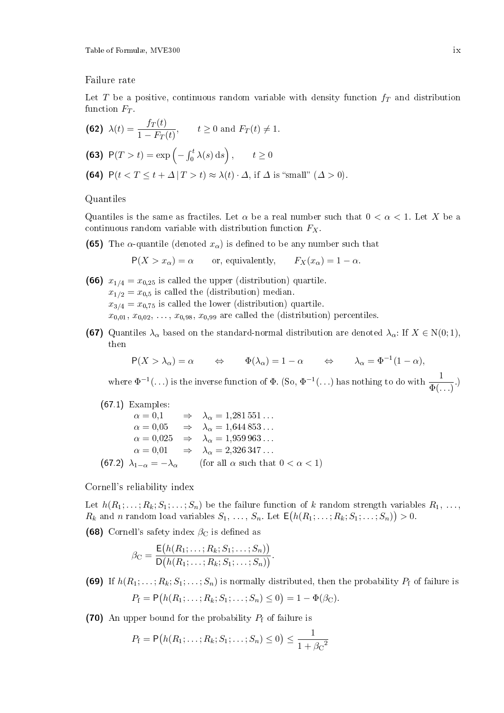Table of Formulæ, MVE300 ix

Failure rate

Let T be a positive, continuous random variable with density function  $f<sub>T</sub>$  and distribution function  $F_T$ .

(62) 
$$
\lambda(t) = \frac{f_T(t)}{1 - F_T(t)}, \qquad t \ge 0 \text{ and } F_T(t) \ne 1.
$$
  
\n(63)  $P(T > t) = \exp\left(-\int_0^t \lambda(s) \, ds\right), \qquad t \ge 0$   
\n(64)  $P(t < T \le t + \Delta | T > t) \approx \lambda(t) \cdot \Delta, \text{ if } \Delta \text{ is "small" } (\Delta > 0).$ 

Quantiles

Quantiles is the same as fractiles. Let  $\alpha$  be a real number such that  $0 < \alpha < 1$ . Let X be a continuous random variable with distribution function  $F_X$ .

(65) The  $\alpha$ -quantile (denoted  $x_{\alpha}$ ) is defined to be any number such that

 $P(X > x_\alpha) = \alpha$  or, equivalently,  $F_X(x_\alpha) = 1 - \alpha$ .

- (66)  $x_{1/4} = x_{0,25}$  is called the upper (distribution) quartile.  $x_{1/2} = x_{0,5}$  is called the (distribution) median.  $x_{3/4} = x_{0,75}$  is called the lower (distribution) quartile.  $x_{0,01}, x_{0,02}, \ldots, x_{0,98}, x_{0,99}$  are called the (distribution) percentiles.
- (67) Quantiles  $\lambda_{\alpha}$  based on the standard-normal distribution are denoted  $\lambda_{\alpha}$ : If  $X \in N(0, 1)$ , then

$$
P(X > \lambda_{\alpha}) = \alpha \qquad \Leftrightarrow \qquad \Phi(\lambda_{\alpha}) = 1 - \alpha \qquad \Leftrightarrow \qquad \lambda_{\alpha} = \Phi^{-1}(1 - \alpha),
$$

where  $\Phi^{-1}(\ldots)$  is the inverse function of  $\Phi$ . (So,  $\Phi^{-1}(\ldots)$  has nothing to do with  $\frac{1}{\Phi(\ldots)}$ .)

(67.1) Examples:

$$
\alpha = 0,1 \qquad \Rightarrow \qquad \lambda_{\alpha} = 1,281\,551\ldots
$$

$$
\alpha = 0,05 \qquad \Rightarrow \qquad \lambda_{\alpha} = 1,644\,853\ldots
$$

$$
\alpha = 0,025 \qquad \Rightarrow \qquad \lambda_{\alpha} = 1,959\,963\ldots
$$

$$
\alpha = 0,01 \qquad \Rightarrow \qquad \lambda_{\alpha} = 2,326\,347\ldots
$$

$$
(67.2)\ \lambda_{1-\alpha} = -\lambda_{\alpha} \qquad \text{(for all } \alpha \text{ such that } 0 < \alpha < 1)
$$

Cornell's reliability index

Let  $h(R_1; \ldots; R_k; S_1; \ldots; S_n)$  be the failure function of k random strength variables  $R_1, \ldots$  $R_k$  and n random load variables  $S_1, \ldots, S_n$ . Let  $\mathsf{E}\big(h(R_1; \ldots; R_k; S_1; \ldots; S_n)\big) > 0$ .

(68) Cornell's safety index  $\beta_{\rm C}$  is defined as

$$
\beta_{\mathcal{C}} = \frac{\mathsf{E}(h(R_1; \ldots; R_k; S_1; \ldots; S_n))}{\mathsf{D}(h(R_1; \ldots; R_k; S_1; \ldots; S_n))}.
$$

(69) If  $h(R_1; \ldots; R_k; S_1; \ldots; S_n)$  is normally distributed, then the probability  $P_f$  of failure is  $P_{\rm f} = \mathsf{P}\big(h(R_1; \ldots; R_k; S_1; \ldots; S_n) \leq 0\big) = 1 - \Phi(\beta_{\rm C}).$ 

(70) An upper bound for the probability  $P_f$  of failure is

$$
P_{\rm f} = \mathsf{P}\big(h(R_1; \ldots; R_k; S_1; \ldots; S_n) \leq 0\big) \leq \frac{1}{1 + \beta_{\rm C}^2}
$$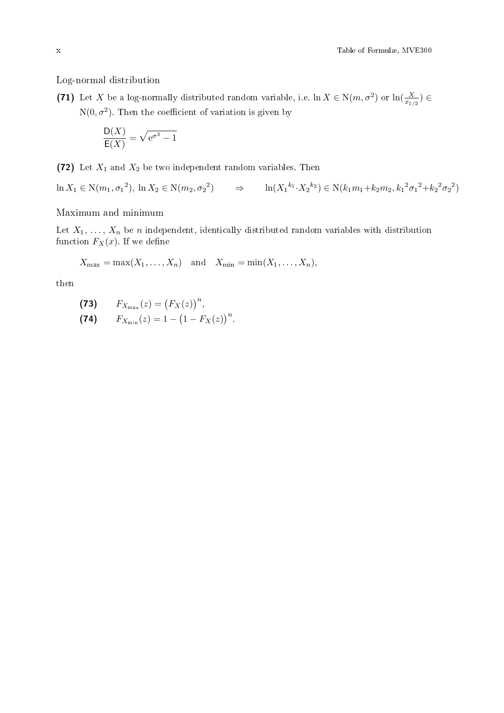Log-normal distribution

(71) Let X be a log-normally distributed random variable, i.e.  $\ln X \in N(m, \sigma^2)$  or  $\ln(\frac{X}{x_{1/2}}) \in$  $N(0, \sigma^2)$ . Then the coefficient of variation is given by

$$
\frac{\mathsf{D}(X)}{\mathsf{E}(X)} = \sqrt{\mathrm{e}^{\sigma^2} - 1}
$$

(72) Let  $X_1$  and  $X_2$  be two independent random variables. Then

 $\ln X_1 \in \mathcal{N}(m_1, \sigma_1^2), \, \ln X_2 \in \mathcal{N}(m_2, \sigma_2^2) \qquad \Rightarrow \qquad \ln(X_1^{k_1} \cdot X_2^{k_2}) \in \mathcal{N}(k_1 m_1 + k_2 m_2, k_1^2 \sigma_1^2 + k_2^2 \sigma_2^2)$ 

Maximum and minimum

Let  $X_1, \ldots, X_n$  be n independent, identically distributed random variables with distribution function  $F_X(x)$ . If we define

 $X_{\text{max}} = \max(X_1, \ldots, X_n)$  and  $X_{\text{min}} = \min(X_1, \ldots, X_n)$ ,

then

$$
(73) \qquad F_{X_{\max}}(z) = (F_X(z))^n,
$$

(74)  $F_{X_{\min}}(z) = 1 - (1 - F_X(z))^n$ .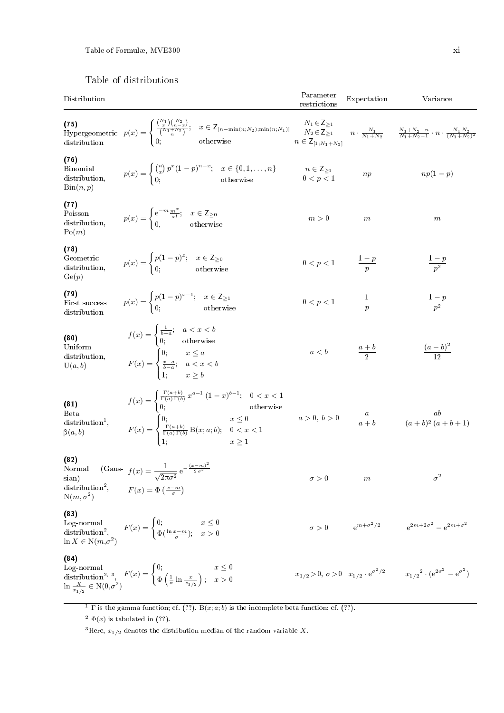# Table of distributions

| Distribution |  |  |
|--------------|--|--|
|              |  |  |

| Distribution                                                                           |                                                                                                                                                                                                                                                                                                                                                                                                                    | Parameter<br>restrictions                                                                                                           | Expectation      | Variance                                                                                                             |
|----------------------------------------------------------------------------------------|--------------------------------------------------------------------------------------------------------------------------------------------------------------------------------------------------------------------------------------------------------------------------------------------------------------------------------------------------------------------------------------------------------------------|-------------------------------------------------------------------------------------------------------------------------------------|------------------|----------------------------------------------------------------------------------------------------------------------|
|                                                                                        | (75)<br>Hypergeometric $p(x) = \begin{cases} \frac{\binom{N+1}{x}\binom{N-2}{n-2}}{\binom{N_1+N_2}{n}}; & x \in \mathbb{Z}_{[n-\min(n;N_2);\min(n;N_1)]} \\ 0; & \text{otherwise} \end{cases}$                                                                                                                                                                                                                     | $N_1 \in \mathsf{Z}_{\geq 1}$<br>$N_2 \in \mathsf{Z}_{\geq 1}$<br>$N_2 \in \mathsf{Z}_{\geq 1}$<br>$n \in \mathsf{Z}_{[1;N_1+N_2]}$ |                  | $n \cdot \frac{N_1}{N_1 + N_2}$ $\frac{N_1 + N_2 - n}{N_1 + N_2 - 1} \cdot n \cdot \frac{N_1 N_2}{(N_1 + N_2)^2}$    |
| (76)<br><b>Binomial</b><br>distribution,<br>$\mathrm{Bin}(n, p)$                       | $p(x) = \begin{cases} {n \choose x} p^x (1-p)^{n-x}; & x \in \{0,1,\ldots,n\} \\ 0; & \text{otherwise} \end{cases}$                                                                                                                                                                                                                                                                                                | $\begin{array}{c} n\in\mathsf{Z}_{\geq 1}\\ 0$                                                                                      | np               | $np(1-p)$                                                                                                            |
| (77)<br>Poisson<br>distribution,<br>Po(m)                                              | $p(x) = \begin{cases} e^{-m}\frac{m^x}{x!}; & x \in \mathsf{Z}_{\geq 0} \ 0, & \text{otherwise} \end{cases}$                                                                                                                                                                                                                                                                                                       | $m > 0\,$                                                                                                                           | $\boldsymbol{m}$ | $\boldsymbol{m}$                                                                                                     |
| (78)<br>Geometric<br>distribution,<br>$\text{Ge}(p)$                                   | $p(x) = \begin{cases} p(1-p)^x; & x \in \mathsf{Z}_{\geq 0} \\ 0; & \text{otherwise} \end{cases}$                                                                                                                                                                                                                                                                                                                  | $0 < p < 1$ $\frac{1-p}{p}$                                                                                                         |                  |                                                                                                                      |
| (79)<br>First success<br>distribution                                                  | $p(x) = \begin{cases} p(1-p)^{x-1}; & x \in \mathbb{Z}_{\geq 1} \\ 0; & \text{otherwise} \end{cases}$                                                                                                                                                                                                                                                                                                              | $0 < p < 1$                                                                                                                         | $\frac{1}{p}$    | $\frac{1-p}{p^2}$                                                                                                    |
| (80)<br>Uniform<br>distribution,<br>U(a,b)                                             | $f(x) = \begin{cases} \frac{1}{b-a}; & a < x < b \\ 0; & \text{otherwise} \end{cases}$<br>$F(x) = \begin{cases} 0; & x \leq a \\ \frac{x-a}{b-a}; & a < x < b \\ 1; & x > b \end{cases}$                                                                                                                                                                                                                           | $a < b$ $\frac{a+b}{2}$                                                                                                             |                  | $\frac{(a-b)^2}{12}$                                                                                                 |
| (81)<br><b>B</b> <sub>et</sub> a<br>$\text{distribution}^1$ ,<br>$\beta(a,b)$          | $\begin{array}{l} f(x)=\begin{cases} \frac{\Gamma(a+b)}{\Gamma(a)\,\Gamma(b)}\,x^{a-1}\,(1-x)^{b-1}; & 0 < x < 1 \\ 0; & \text{otherwise} \end{cases} \\ F(x)=\begin{cases} 0; & x \leq 0 \\ \frac{\Gamma(a+b)}{\Gamma(a)\,\Gamma(b)}\, \text{B}(x;a;b); & 0 < x < 1 \\ 1; & x \geq 1 \end{cases} \qquad \qquad a > 0, \, b > 0 \qquad \qquad \frac{a}{a+b} \qquad \qquad \frac{ab}{(a+b)^2\,(a+b+1)} \end{array}$ |                                                                                                                                     |                  |                                                                                                                      |
| (82)<br>Normal<br>sian)<br>$distribution2$ ,<br>$N(m, \sigma^2)$                       | (Gaus- $f(x) = \frac{1}{\sqrt{2\pi\sigma^2}} e^{-\frac{(x-m)^2}{2\sigma^2}}$<br>$F(x) = \Phi\left(\frac{x-m}{\sigma}\right)$                                                                                                                                                                                                                                                                                       | $\sigma>0$                                                                                                                          | $\,m$            | $\sigma^2$                                                                                                           |
| (83)<br>$Log-normal$<br>$\operatorname{distribution}^2,$<br>$\ln X \in N(m, \sigma^2)$ | $F(x) = \begin{cases} 0; & x \leq 0 \\ \Phi(\frac{\ln x - m}{\sigma}); & x > 0 \end{cases}$                                                                                                                                                                                                                                                                                                                        |                                                                                                                                     |                  | $\sigma>0 \qquad \quad \mathrm{e}^{m+\sigma^2/2} \qquad \quad \  \mathrm{e}^{2m+2\sigma^2}-\mathrm{e}^{2m+\sigma^2}$ |
| (84)                                                                                   | Log-normal distribution <sup>2, 3</sup> , $F(x) = \begin{cases} 0; & x \le 0 \\ \Phi\left(\frac{1}{\sigma}\ln\frac{x}{x_{1/2}}\right); & x > 0 \end{cases}$                                                                                                                                                                                                                                                        | $x_{1/2} > 0, \sigma > 0 \quad x_{1/2} \cdot e^{\sigma^2/2}$                                                                        |                  | $x_{1/2}^2 \cdot (e^{2\sigma^2} - e^{\sigma^2})$                                                                     |

<sup>1</sup> Γ is the gamma function; cf. (??). B(x; a; b) is the incomplete beta function; cf. (??).

<sup>2</sup>  $\Phi(x)$  is tabulated in (??).

<sup>3</sup>Here,  $x_{1/2}$  denotes the distribution median of the random variable X.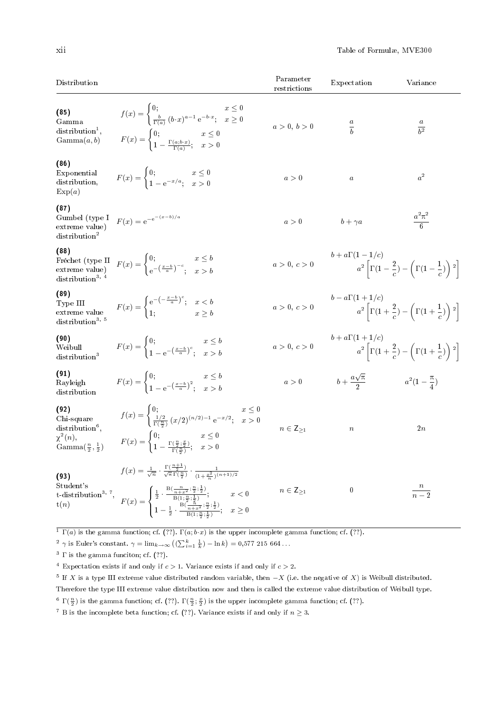| Distribution                                                                                   |                                                                                                                                                                                                                                                                                                                                                                                                                                                                                    | Parameter<br>restrictions   | Expectation                                                  | Variance                                                                     |
|------------------------------------------------------------------------------------------------|------------------------------------------------------------------------------------------------------------------------------------------------------------------------------------------------------------------------------------------------------------------------------------------------------------------------------------------------------------------------------------------------------------------------------------------------------------------------------------|-----------------------------|--------------------------------------------------------------|------------------------------------------------------------------------------|
| (85)<br>Gamma<br>$distribution1$ ,<br>Gamma(a, b)                                              | $f(x) = \begin{cases} 0; & x \leq 0 \\ \frac{b}{\Gamma(a)} (b \cdot x)^{a-1} e^{-b \cdot x}; & x \geq 0 \end{cases}$<br>$F(x) = \begin{cases} 0; & x \leq 0 \\ 1 - \frac{\Gamma(a;b\cdot x)}{\Gamma(a;b\cdot x)}; & x > 0 \end{cases}$                                                                                                                                                                                                                                             | a > 0, b > 0                | $\frac{a}{b}$                                                | $\frac{a}{b^2}$                                                              |
| (86)<br>Exponential<br>distribution,<br>Exp(a)                                                 | $F(x) = \begin{cases} 0; & x \leq 0 \\ 1 - e^{-x/a}; & x > 0 \end{cases}$                                                                                                                                                                                                                                                                                                                                                                                                          | a>0                         | $\boldsymbol{a}$                                             | $a^2$                                                                        |
| (87)<br>Gumbel (type I<br>extreme value)<br>distribution <sup>2</sup>                          | $F(x) = e^{-e^{-(x-b)/a}}$                                                                                                                                                                                                                                                                                                                                                                                                                                                         | $a>0$                       | $b + \gamma a$                                               | $\frac{a^2\pi^2}{6}$                                                         |
| (88)                                                                                           | Fréchet (type II $F(x) = \begin{cases} 0; & x \le b \\ e^{-\left(\frac{x-b}{a}\right)^{-c}}; & x > b \end{cases}$ distribution <sup>3, 4</sup>                                                                                                                                                                                                                                                                                                                                     | a > 0, c > 0                | $b+a\Gamma(1-1/c)$                                           | $a^2\left[\Gamma(1-\frac{2}{c})-\left(\Gamma(1-\frac{1}{c})\right)^2\right]$ |
| (89)<br>Type III<br>extreme value<br>distribution <sup>3, 5</sup>                              | $F(x) = \begin{cases} e^{-\left(-\frac{x-a}{a}\right)^{x}}; & x < b \\ 1; & x > b \end{cases}$                                                                                                                                                                                                                                                                                                                                                                                     | a > 0, c > 0                | $b-a\Gamma(1+1/c)$                                           | $a^2\left[\Gamma(1+\frac{2}{c})-\left(\Gamma(1+\frac{1}{c})\right)^2\right]$ |
| (90)<br>Weibull<br>distribution <sup>3</sup>                                                   | $F(x) = \begin{cases} 0; & x \leq b \\ 1 - e^{-\left(\frac{x-b}{a}\right)^c}; & x > b \end{cases}$                                                                                                                                                                                                                                                                                                                                                                                 | a>0, c>0                    | $b + a\Gamma(1+1/c)$                                         | $a^2\left[\Gamma(1+\frac{2}{c})-\left(\Gamma(1+\frac{1}{c})\right)^2\right]$ |
| (91)<br>Rayleigh<br>distribution                                                               | $F(x) = \begin{cases} 0; & x \leq b \\ 1 - e^{-\left(\frac{x-b}{a}\right)^2}, & x > b \end{cases}$                                                                                                                                                                                                                                                                                                                                                                                 |                             | $a > 0$ $b + \frac{a\sqrt{\pi}}{2}$ $a^2(1 - \frac{\pi}{4})$ |                                                                              |
| (92)<br>Chi-square<br>$distribution6$ ,<br>$\chi^2(n)$ ,<br>Gamma $(\frac{n}{2}, \frac{1}{2})$ | $f(x) = \begin{cases} 0; & x \leq 0 \\ \frac{1/2}{\Gamma(\frac{n}{2})} (x/2)^{(n/2)-1} e^{-x/2}; & x > 0 \end{cases}$<br>$F(x) = \begin{cases} 0; & x \leq 0 \\ 1 - \frac{\Gamma(\frac{n}{2}; \frac{x}{2})}{\Gamma(\frac{n}{2})}; & x > 0 \end{cases}$                                                                                                                                                                                                                             | $n \in \mathsf{Z}_{\geq 1}$ | $\, n$                                                       | 2n                                                                           |
| (93)<br>Student's                                                                              | $f(x) = \frac{1}{\sqrt{n}} \cdot \frac{\Gamma(\frac{n+1}{2})}{\sqrt{\pi} \Gamma(\frac{n}{2})} \cdot \frac{1}{(1 + \frac{x^2}{n})^{(n+1)/2}}$<br>st distribution <sup>3, 7</sup> ,<br>$t(n)$<br>$t(n)$<br>$F(x) = \begin{cases} \frac{1}{2} \cdot \frac{B(\frac{n}{n+x^2}; \frac{n}{2}; \frac{1}{2})}{B(1; \frac{n}{2}; \frac{1}{2})}; & x < 0 \\ 1 - \frac{1}{2} \cdot \frac{B(\frac{n}{n+x^2}; \frac{n}{2}; \frac{1}{2})}{B(1; \frac{n}{2}; \frac{1}{2})}; & x \ge 0 \end{cases}$ | $n\in\mathsf{Z}_{\geq 1}$   | $\bf{0}$                                                     | $\frac{n}{n-2}$                                                              |

 $\overline{1 \Gamma(a)}$  is the gamma function; cf. (??).  $\Gamma(a; b \cdot x)$  is the upper incomplete gamma function; cf. (??).

<sup>2</sup> γ is Euler's constant.  $\gamma = \lim_{k \to \infty} \left( \left( \sum_{i=1}^{k} \frac{1}{k} \right) - \ln k \right) = 0.577215664...$ 

<sup>3</sup>  $\Gamma$  is the gamma funciton; cf. (??).

<sup>4</sup> Expectation exists if and only if  $c > 1$ . Variance exists if and only if  $c > 2$ .

 $^5$  If X is a type III extreme value distributed random variable, then  $-X$  (i.e. the negative of X) is Weibull distributed.

Therefore the type III extreme value distribution now and then is called the extreme value distribution of Weibull type.

<sup>6</sup>  $\Gamma(\frac{n}{2})$  is the gamma function; cf. (??).  $\Gamma(\frac{n}{2}; \frac{x}{2})$  is the upper incomplete gamma function; cf. (??).

<sup>7</sup> B is the incomplete beta function; cf. (??). Variance exists if and only if  $n \geq 3$ .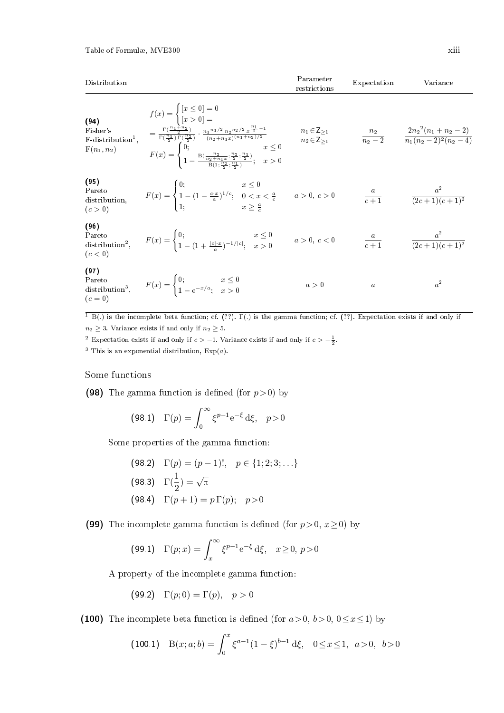| Distribution                                                          |                                                                                                                                                                                                                                                                                                                                                                                                                | Parameter<br>restrictions                                        | Expectation      | Variance                                                            |
|-----------------------------------------------------------------------|----------------------------------------------------------------------------------------------------------------------------------------------------------------------------------------------------------------------------------------------------------------------------------------------------------------------------------------------------------------------------------------------------------------|------------------------------------------------------------------|------------------|---------------------------------------------------------------------|
| (94)<br>Fisher's<br>$F$ -distribution <sup>1</sup> ,<br>$F(n_1, n_2)$ | $f(x) = \begin{cases} [x \le 0] = 0 \\ [x > 0] = \end{cases}$<br>$=\tfrac{\Gamma(\tfrac{n_1+n_2}{2})}{\Gamma(\tfrac{n_1}{2})\Gamma(\tfrac{n_2}{2})}\cdot\tfrac{{n_1}^{n_1/2}\,n_2^{\,n_2/2}\,x^{\tfrac{n_1}{2}-1}}{(n_2+n_1x)^{(n_1+n_2)/2}}$<br>$F(x) = \begin{cases} 0; & x \leq 0 \\ 1 - \frac{B(\frac{n_2}{n_2+n_1x};\frac{n_2}{2},\frac{n_1}{2})}{B(1-\frac{n_2}{2},\frac{n_1}{2})}; & x > 0 \end{cases}$ | $n_1 \in \mathsf{Z}_{\geq 1}$<br>$n_2 \in \mathsf{Z}_{\geq 1}^-$ |                  | $\frac{n_2}{n_2-2}$ $\frac{2n_2^2(n_1+n_2-2)}{n_1(n_2-2)^2(n_2-4)}$ |
| (95)<br>Pareto<br>distribution,<br>(c>0)                              | $F(x) = \begin{cases} 0; & x \leq 0 \\ 1 - (1 - \frac{c \cdot x}{a})^{1/c}; & 0 < x < \frac{a}{c} \\ 1; & x \geq \frac{a}{c} \end{cases}$ $a > 0, c > 0$                                                                                                                                                                                                                                                       |                                                                  |                  | $rac{a}{c+1}$ $rac{a^2}{(2c+1)(c+1)^2}$                             |
| (96)<br>Pareto<br>(c<0)                                               | Pareto<br>distribution <sup>2</sup> , $F(x) = \begin{cases} 0; & x \le 0 \\ 1 - (1 + \frac{ c  \cdot x}{2})^{-1/ c }; & x > 0 \end{cases}$ $a > 0, c < 0$                                                                                                                                                                                                                                                      |                                                                  |                  | $rac{a}{c+1}$ $rac{a^2}{(2c+1)(c+1)^2}$                             |
| (97)<br>Pareto<br>$(c=0)$                                             | Pareto<br>distribution <sup>3</sup> , $F(x) = \begin{cases} 0; & x \leq 0 \\ 1 - e^{-x/a}; & x > 0 \end{cases}$                                                                                                                                                                                                                                                                                                | a>0                                                              | $\boldsymbol{a}$ | $a^2$                                                               |

<sup>1</sup> B(.) is the incomplete beta function; cf. (??). Γ(.) is the gamma function; cf. (??). Expectation exists if and only if  $n_2 \geq 3$ . Variance exists if and only if  $n_2 \geq 5$ .

<sup>2</sup> Expectation exists if and only if  $c > -1$ . Variance exists if and only if  $c > -\frac{1}{2}$ .

<sup>3</sup> This is an exponential distribution,  $Exp(a)$ .

### Some functions

(98) The gamma function is defined (for  $p > 0$ ) by

$$
(98.1) \quad \Gamma(p) = \int_0^\infty \xi^{p-1} e^{-\xi} d\xi, \quad p > 0
$$

Some properties of the gamma function:

(98.2) 
$$
\Gamma(p) = (p-1)!, \quad p \in \{1; 2; 3; \ldots\}
$$
  
\n(98.3)  $\Gamma(\frac{1}{2}) = \sqrt{\pi}$   
\n(98.4)  $\Gamma(p+1) = p \Gamma(p); \quad p > 0$ 

(99) The incomplete gamma function is defined (for  $p>0$ ,  $x\geq 0$ ) by

(99.1) 
$$
\Gamma(p; x) = \int_x^{\infty} \xi^{p-1} e^{-\xi} d\xi, \quad x \ge 0, p > 0
$$

A property of the incomplete gamma function:

$$
(99.2) \quad \Gamma(p;0) = \Gamma(p), \quad p > 0
$$

(100) The incomplete beta function is defined (for  $a>0, b>0, 0\leq x\leq 1$ ) by

(100.1) 
$$
B(x;a;b) = \int_0^x \xi^{a-1} (1-\xi)^{b-1} d\xi, \quad 0 \le x \le 1, \quad a > 0, \quad b > 0
$$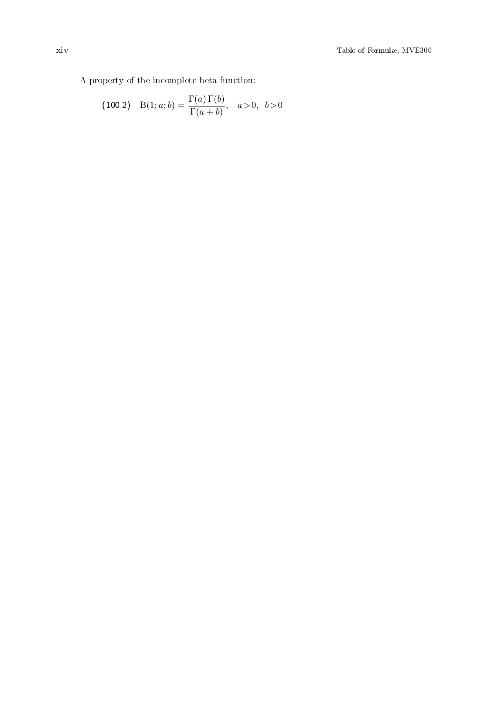(100.2) 
$$
B(1; a; b) = \frac{\Gamma(a) \Gamma(b)}{\Gamma(a+b)}, \quad a > 0, \quad b > 0
$$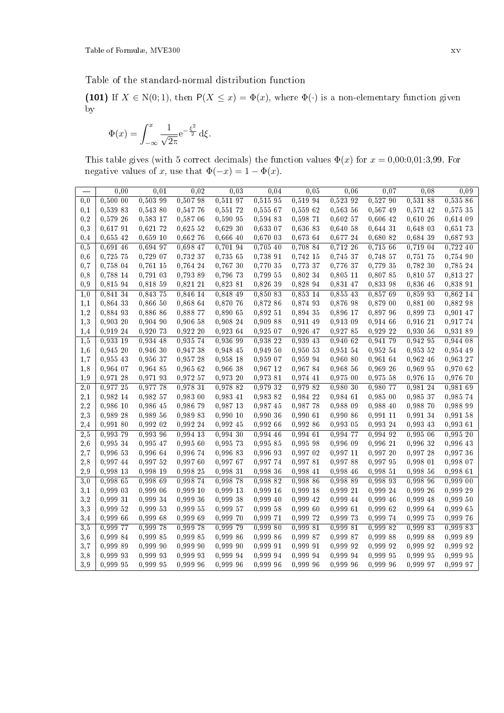Table of the standard-normal distribution function

(101) If  $X \in N(0, 1)$ , then  $P(X \leq x) = \Phi(x)$ , where  $\Phi(\cdot)$  is a non-elementary function given by

$$
\Phi(x) = \int_{-\infty}^{x} \frac{1}{\sqrt{2\pi}} e^{-\frac{\xi^2}{2}} d\xi.
$$

This table gives (with 5 correct decimals) the function values  $\Phi(x)$  for  $x = 0.00:0.01:3,99$ . For negative values of x, use that  $\Phi(-x) = 1 - \Phi(x)$ .

|          | 0.00     | 0.01       | 0,02     | 0.03     | 0,04     | 0,05     | 0,06       | 0,07       | 0.08     | 0.09     |
|----------|----------|------------|----------|----------|----------|----------|------------|------------|----------|----------|
| 0,0      | 0.500 00 | 0.503 99   | 0,507 98 | 0,511 97 | 0,515 95 | 0,519 94 | 0.523 92   | 0,527 90   | 0,531 88 | 0,535 86 |
| 0,1      | 0,539 83 | 0,543 80   | 0,547 76 | 0,55172  | 0,555 67 | 0,559 62 | 0,563 56   | 0,567 49   | 0,571 42 | 0,575 35 |
| 0,2      | 0,579 26 | 0,583 17   | 0,587 06 | 0,590 95 | 0,594 83 | 0,598 71 | 0,60257    | 0,606 42   | 0,610 26 | 0,614 09 |
| 0,3      | 0,61791  | 0,621 72   | 0,625 52 | 0,629,30 | 0,633 07 | 0,636 83 | 0,640 58   | $0,644$ 31 | 0,648 03 | 0,651 73 |
| 0,4      | 0,655,42 | $0,659$ 10 | 0,662 76 | 0,666 40 | 0,670 03 | 0,673 64 | 0,677 24   | 0,680 82   | 0,684 39 | 0,687 93 |
| 0, 5     | 0,691 46 | 0,694 97   | 0.698 47 | 0,70194  | 0,705 40 | 0,708 84 | 0,712 26   | 0,715 66   | 0,719 04 | 0,722 40 |
| 0,6      | 0,725 75 | 0,729 07   | 0,732 37 | 0,735 65 | 0,738 91 | 0,742 15 | 0,745 37   | 0,748 57   | 0,751 75 | 0,754 90 |
| 0,7      | 0.758 04 | $0,761$ 15 | 0,764 24 | 0,767 30 | 0,770 35 | 0,773 37 | 0,776 37   | 0,779 35   | 0,782 30 | 0,785 24 |
| 0,8      | 0,788 14 | 0,791 03   | 0,793 89 | 0,796 73 | 0,799 55 | 0,802 34 | $0,805$ 11 | 0,807 85   | 0,810 57 | 0,813 27 |
| 0,9      | 0,815 94 | 0,818 59   | 0,821 21 | 0,823 81 | 0,826 39 | 0,828 94 | 0,831 47   | 0,833 98   | 0,836 46 | 0,838 91 |
| 1,0      | 0,841 34 | 0,843 75   | 0,846 14 | 0,848 49 | 0,850 83 | 0,853 14 | 0,855 43   | 0,857 69   | 0,859 93 | 0,862 14 |
| 1,1      | 0,864 33 | 0,866,50   | 0,868 64 | 0,870 76 | 0,872 86 | 0,874 93 | 0,876 98   | 0,879 00   | 0,881 00 | 0,882 98 |
| 1,2      | 0,884 93 | 0,886 86   | 0,888 77 | 0,890 65 | 0,892 51 | 0,894 35 | 0,896 17   | 0,897 96   | 0,899 73 | 0,901 47 |
| 1,3      | 0,90320  | $0,904$ 90 | 0,906 58 | 0,908 24 | 0,909 88 | 0,911 49 | 0,913 09   | 0,914 66   | 0,916 21 | 0,917 74 |
| 1,4      | 0,919 24 | 0,920 73   | 0,922,20 | 0,923 64 | 0,925,07 | 0,926 47 | 0,927 85   | $0,929$ 22 | 0,930 56 | 0,931 89 |
| 1,5      | 0,933 19 | 0,934 48   | 0,935 74 | 0,936 99 | 0,938 22 | 0,939 43 | 0,940 62   | 0,941 79   | 0,942 95 | 0,944 08 |
| 1,6      | 0,945,20 | 0,946,30   | 0,947 38 | 0,948 45 | 0,949 50 | 0,950 53 | 0,951 54   | 0,952 54   | 0,953 52 | 0,954 49 |
| 1,7      | 0,955 43 | 0,956 37   | 0,957 28 | 0,958 18 | 0,959 07 | 0,959 94 | 0,960 80   | 0,961 64   | 0,962 46 | 0,963 27 |
| 1,8      | 0,964 07 | 0,964 85   | 0,965 62 | 0,966 38 | 0,967 12 | 0.96784  | 0,968 56   | 0,969 26   | 0,969 95 | 0,970 62 |
| 1,9      | 0,971 28 | 0,971 93   | 0,972 57 | 0,973 20 | 0,973 81 | 0,974 41 | 0,975 00   | 0,975 58   | 0,976 15 | 0,976 70 |
| 2,0      | 0,977 25 | 0,977 78   | 0,978 31 | 0,978 82 | 0,979 32 | 0,979 82 | 0,980 30   | 0,980 77   | 0,981 24 | 0,981 69 |
| $^{2,1}$ | 0,982 14 | 0,982 57   | 0,983 00 | 0,983 41 | 0,983 82 | 0,984 22 | 0,984 61   | 0,985 00   | 0,985 37 | 0,985 74 |
| 2,2      | 0,986 10 | 0,986 45   | 0,986 79 | 0,987 13 | 0,987 45 | 0,987 78 | 0,988 09   | 0,988 40   | 0,988 70 | 0,988 99 |
| 2,3      | 0,989 28 | 0,989 56   | 0,989 83 | 0,990 10 | 0,99036  | 0,990 61 | 0,990 86   | 0,991 11   | 0,991 34 | 0.991 58 |
| 2,4      | 0,991 80 | 0,992 02   | 0,992 24 | 0,992 45 | 0,992 66 | 0,992 86 | 0,993 05   | 0,993 24   | 0,993 43 | 0,993 61 |
| 2,5      | 0,993 79 | 0,993 96   | 0,994 13 | 0,994 30 | 0,994,46 | 0,994 61 | 0,994 77   | 0,994 92   | 0,995 06 | 0,995 20 |
| 2,6      | 0,995 34 | 0,995 47   | 0,995 60 | 0,995 73 | 0,995 85 | 0,995 98 | 0,996 09   | 0,996 21   | 0,996 32 | 0,996 43 |
| 2,7      | 0,996 53 | 0,996 64   | 0,996 74 | 0,996 83 | 0,996 93 | 0,997 02 | 0,997 11   | 0,997 20   | 0,997 28 | 0,997 36 |
| 2,8      | 0,99744  | 0,997 52   | 0,997 60 | 0,997 67 | 0,997 74 | 0,997 81 | 0,99788    | 0,997 95   | 0,998 01 | 0,998 07 |
| 2,9      | 0,998 13 | 0,998 19   | 0,998 25 | 0,998 31 | 0,998 36 | 0,998 41 | 0,998 46   | 0,998 51   | 0,998 56 | 0,998 61 |
| 3,0      | 0,998 65 | 0,998 69   | 0,998 74 | 0,998 78 | 0,998 82 | 0,998 86 | 0,998 89   | 0,998 93   | 0,998 96 | 0,999 00 |
| 3,1      | 0,999 03 | 0,999 06   | 0,999 10 | 0,999 13 | 0,999 16 | 0,999 18 | 0,999 21   | 0,999 24   | 0,999 26 | 0,999 29 |
| 3,2      | 0,999 31 | 0,999 34   | 0,999 36 | 0,999 38 | 0,999 40 | 0,999 42 | 0,999 44   | 0,999 46   | 0,999 48 | 0,999 50 |
| 3,3      | 0,999 52 | 0,999 53   | 0,999 55 | 0,999 57 | 0,999 58 | 0,999 60 | 0,99961    | 0,999 62   | 0,999 64 | 0,999 65 |
| 3,4      | 0,99966  | 0,999 68   | 0,999 69 | 0,999 70 | 0,999 71 | 0,999 72 | 0,999 73   | 0,999 74   | 0,999 75 | 0,999 76 |
| 3,5      | 0,999 77 | 0,999 78   | 0,999 78 | 0,999 79 | 0,999 80 | 0,999 81 | 0,999 81   | 0,999 82   | 0,999 83 | 0,999 83 |
| 3,6      | 0,999 84 | 0,999 85   | 0,999 85 | 0,999 86 | 0,999 86 | 0,999 87 | 0,999 87   | 0,999 88   | 0,999 88 | 0,999 89 |
| 3,7      | 0,999 89 | 0,999 90   | 0,999 90 | 0,999 90 | 0,999 91 | 0,999 91 | 0,999 92   | 0,999 92   | 0,999 92 | 0,999 92 |
| 3,8      | 0,999 93 | 0,999 93   | 0,999 93 | 0,999 94 | 0,999 94 | 0,999 94 | 0,999 94   | 0,999 95   | 0,999 95 | 0,999 95 |
| 3.9      | 0.999 95 | 0.999 95   | 0,999 96 | 0,999 96 | 0.999 96 | 0.999 96 | 0,999 96   | 0.999 96   | 0,999 97 | 0.999 97 |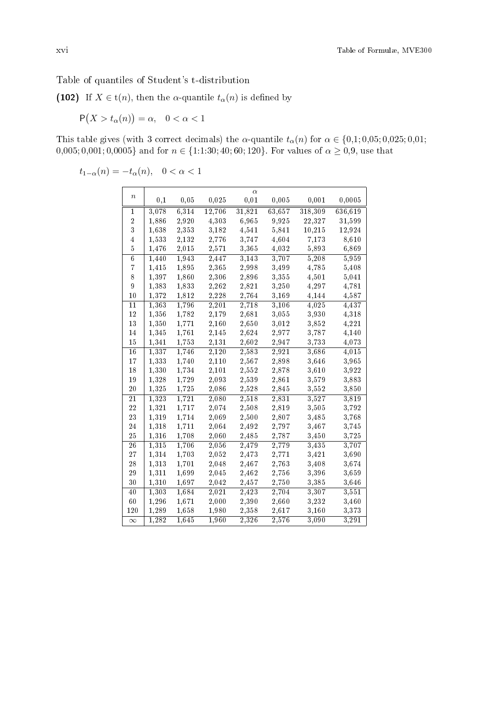## Table of quantiles of Student's t-distribution

(102) If  $X \in t(n)$ , then the  $\alpha$ -quantile  $t_{\alpha}(n)$  is defined by

$$
\mathsf{P}(X > t_\alpha(n)) = \alpha, \quad 0 < \alpha < 1
$$

This table gives (with 3 correct decimals) the  $\alpha$ -quantile  $t_{\alpha}(n)$  for  $\alpha \in \{0,1;0,05;0,025;0,01;$  $0,005; 0,001; 0,0005$ } and for  $n \in \{1:1:30; 40; 60; 120\}$ . For values of  $\alpha \ge 0.9$ , use that

 $t_{1-\alpha}(n) = -t_\alpha(n), \quad 0 < \alpha < 1$ 

| $\boldsymbol{n}$ |                    |       |        | $\alpha$            |        |            |         |
|------------------|--------------------|-------|--------|---------------------|--------|------------|---------|
|                  | 0,1                | 0,05  | 0,025  | 0,01                | 0,005  | 0,001      | 0,0005  |
| 1                | 3,078              | 6,314 | 12,706 | 31,821              | 63,657 | 318,309    | 636,619 |
| $\boldsymbol{2}$ | 1,886              | 2,920 | 4,303  | 6,965               | 9,925  | 22,327     | 31,599  |
| $\overline{3}$   | 1,638              | 2,353 | 3,182  | 4,541               | 5,841  | $10,\!215$ | 12,924  |
| $\overline{4}$   | 1,533              | 2,132 | 2,776  | 3,747               | 4,604  | 7,173      | 8,610   |
| $\overline{5}$   | 1,476              | 2,015 | 2,571  | 3,365               | 4,032  | 5,893      | 6,869   |
| $\overline{6}$   | 1,440              | 1,943 | 2,447  | $\overline{3}, 143$ | 3,707  | 5,208      | 5,959   |
| $\overline{7}$   | 1,415              | 1,895 | 2,365  | 2,998               | 3,499  | 4,785      | 5,408   |
| 8                | 1,397              | 1,860 | 2,306  | 2,896               | 3,355  | 4,501      | 5,041   |
| 9                | 1,383              | 1,833 | 2,262  | 2,821               | 3,250  | 4,297      | 4,781   |
| 10               | 1,372              | 1,812 | 2,228  | 2,764               | 3,169  | 4,144      | 4,587   |
| 11               | $\overline{1},363$ | 1,796 | 2,201  | $\overline{2}, 718$ | 3,106  | 4,025      | 4,437   |
| 12               | 1,356              | 1,782 | 2,179  | 2,681               | 3,055  | 3,930      | 4,318   |
| 13               | 1,350              | 1,771 | 2,160  | 2,650               | 3,012  | 3,852      | 4,221   |
| 14               | 1,345              | 1,761 | 2,145  | 2,624               | 2,977  | 3,787      | 4,140   |
| 15               | 1,341              | 1,753 | 2,131  | 2,602               | 2,947  | 3,733      | 4,073   |
| 16               | 1,337              | 1,746 | 2,120  | 2,583               | 2,921  | 3,686      | 4,015   |
| 17               | 1,333              | 1,740 | 2,110  | 2,567               | 2,898  | 3,646      | 3,965   |
| 18               | 1,330              | 1,734 | 2,101  | 2,552               | 2,878  | 3,610      | 3,922   |
| 19               | 1,328              | 1,729 | 2,093  | 2,539               | 2,861  | 3,579      | 3,883   |
| $^{20}$          | 1,325              | 1,725 | 2,086  | 2,528               | 2,845  | 3,552      | 3,850   |
| 21               | 1,323              | 1,721 | 2,080  | 2,518               | 2,831  | 3,527      | 3,819   |
| 22               | 1,321              | 1,717 | 2,074  | 2,508               | 2,819  | 3,505      | 3,792   |
| 23               | 1,319              | 1,714 | 2,069  | 2,500               | 2,807  | 3,485      | 3,768   |
| 24               | 1,318              | 1,711 | 2,064  | 2,492               | 2,797  | 3,467      | 3,745   |
| 25               | 1,316              | 1,708 | 2,060  | 2,485               | 2,787  | 3,450      | 3,725   |
| 26               | $\overline{1},315$ | 1,706 | 2,056  | 2,479               | 2,779  | 3,435      | 3,707   |
| 27               | 1,314              | 1,703 | 2,052  | 2,473               | 2,771  | 3,421      | 3,690   |
| 28               | 1,313              | 1,701 | 2,048  | 2,467               | 2,763  | 3,408      | 3,674   |
| 29               | 1,311              | 1,699 | 2,045  | 2,462               | 2,756  | 3,396      | 3,659   |
| 30               | 1,310              | 1,697 | 2,042  | 2,457               | 2,750  | 3,385      | 3,646   |
| 40               | 1,303              | 1,684 | 2,021  | 2,423               | 2,704  | 3,307      | 3,551   |
| 60               | 1,296              | 1,671 | 2,000  | 2,390               | 2,660  | 3,232      | 3,460   |
| 120              | 1,289              | 1,658 | 1,980  | 2,358               | 2,617  | 3,160      | 3,373   |
| $\infty$         | 1,282              | 1,645 | 1,960  | 2,326               | 2,576  | 3,090      | 3,291   |